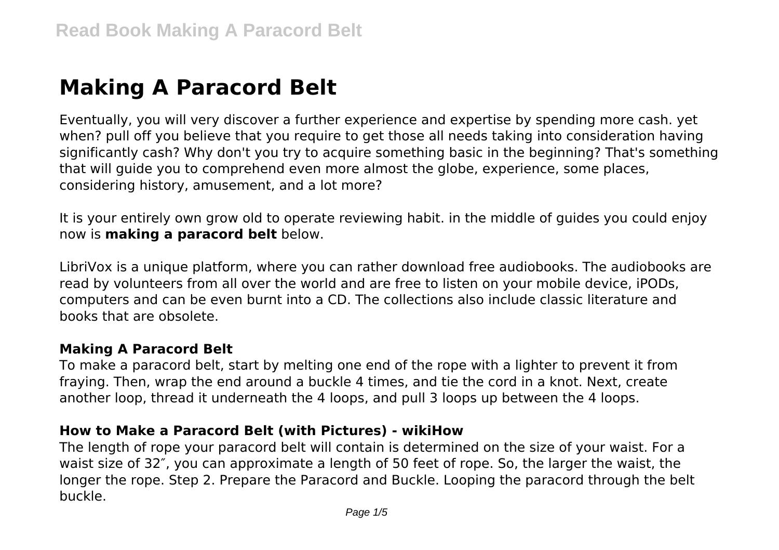# **Making A Paracord Belt**

Eventually, you will very discover a further experience and expertise by spending more cash. yet when? pull off you believe that you require to get those all needs taking into consideration having significantly cash? Why don't you try to acquire something basic in the beginning? That's something that will guide you to comprehend even more almost the globe, experience, some places, considering history, amusement, and a lot more?

It is your entirely own grow old to operate reviewing habit. in the middle of guides you could enjoy now is **making a paracord belt** below.

LibriVox is a unique platform, where you can rather download free audiobooks. The audiobooks are read by volunteers from all over the world and are free to listen on your mobile device, iPODs, computers and can be even burnt into a CD. The collections also include classic literature and books that are obsolete.

## **Making A Paracord Belt**

To make a paracord belt, start by melting one end of the rope with a lighter to prevent it from fraying. Then, wrap the end around a buckle 4 times, and tie the cord in a knot. Next, create another loop, thread it underneath the 4 loops, and pull 3 loops up between the 4 loops.

## **How to Make a Paracord Belt (with Pictures) - wikiHow**

The length of rope your paracord belt will contain is determined on the size of your waist. For a waist size of 32″, you can approximate a length of 50 feet of rope. So, the larger the waist, the longer the rope. Step 2. Prepare the Paracord and Buckle. Looping the paracord through the belt buckle.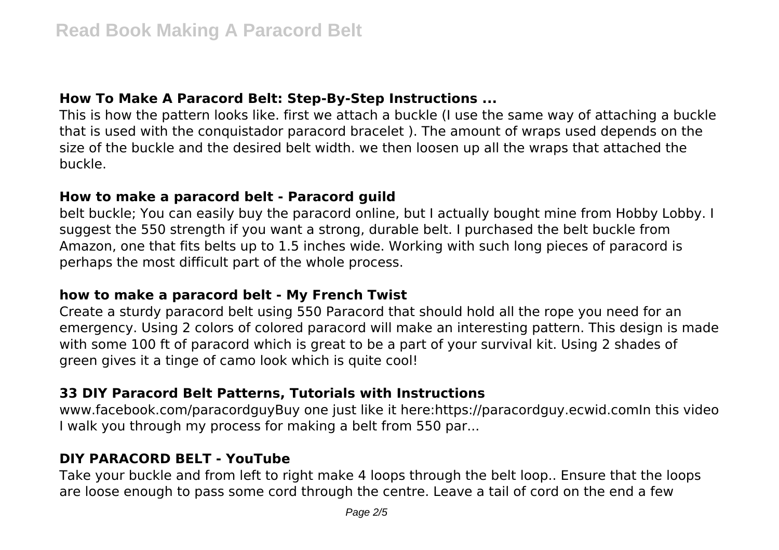## **How To Make A Paracord Belt: Step-By-Step Instructions ...**

This is how the pattern looks like. first we attach a buckle (I use the same way of attaching a buckle that is used with the conquistador paracord bracelet ). The amount of wraps used depends on the size of the buckle and the desired belt width. we then loosen up all the wraps that attached the buckle.

#### **How to make a paracord belt - Paracord guild**

belt buckle; You can easily buy the paracord online, but I actually bought mine from Hobby Lobby. I suggest the 550 strength if you want a strong, durable belt. I purchased the belt buckle from Amazon, one that fits belts up to 1.5 inches wide. Working with such long pieces of paracord is perhaps the most difficult part of the whole process.

## **how to make a paracord belt - My French Twist**

Create a sturdy paracord belt using 550 Paracord that should hold all the rope you need for an emergency. Using 2 colors of colored paracord will make an interesting pattern. This design is made with some 100 ft of paracord which is great to be a part of your survival kit. Using 2 shades of green gives it a tinge of camo look which is quite cool!

# **33 DIY Paracord Belt Patterns, Tutorials with Instructions**

www.facebook.com/paracordguyBuy one just like it here:https://paracordguy.ecwid.comIn this video I walk you through my process for making a belt from 550 par...

## **DIY PARACORD BELT - YouTube**

Take your buckle and from left to right make 4 loops through the belt loop.. Ensure that the loops are loose enough to pass some cord through the centre. Leave a tail of cord on the end a few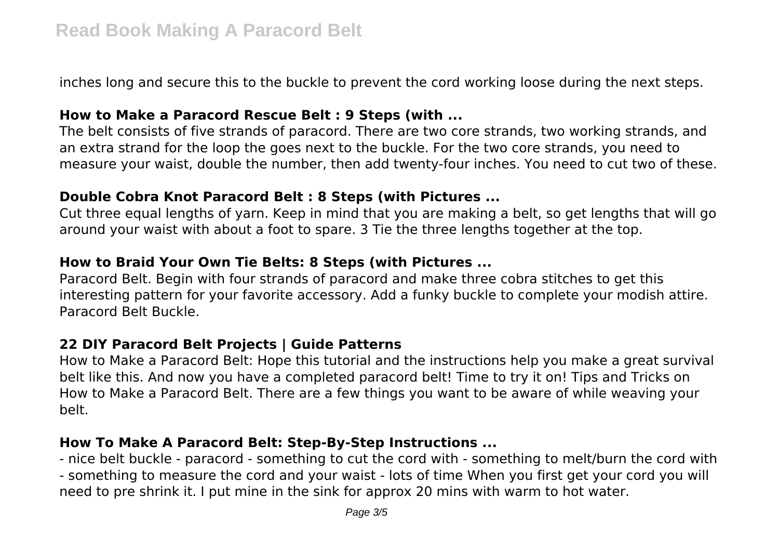inches long and secure this to the buckle to prevent the cord working loose during the next steps.

### **How to Make a Paracord Rescue Belt : 9 Steps (with ...**

The belt consists of five strands of paracord. There are two core strands, two working strands, and an extra strand for the loop the goes next to the buckle. For the two core strands, you need to measure your waist, double the number, then add twenty-four inches. You need to cut two of these.

## **Double Cobra Knot Paracord Belt : 8 Steps (with Pictures ...**

Cut three equal lengths of yarn. Keep in mind that you are making a belt, so get lengths that will go around your waist with about a foot to spare. 3 Tie the three lengths together at the top.

## **How to Braid Your Own Tie Belts: 8 Steps (with Pictures ...**

Paracord Belt. Begin with four strands of paracord and make three cobra stitches to get this interesting pattern for your favorite accessory. Add a funky buckle to complete your modish attire. Paracord Belt Buckle.

## **22 DIY Paracord Belt Projects | Guide Patterns**

How to Make a Paracord Belt: Hope this tutorial and the instructions help you make a great survival belt like this. And now you have a completed paracord belt! Time to try it on! Tips and Tricks on How to Make a Paracord Belt. There are a few things you want to be aware of while weaving your belt.

## **How To Make A Paracord Belt: Step-By-Step Instructions ...**

- nice belt buckle - paracord - something to cut the cord with - something to melt/burn the cord with - something to measure the cord and your waist - lots of time When you first get your cord you will need to pre shrink it. I put mine in the sink for approx 20 mins with warm to hot water.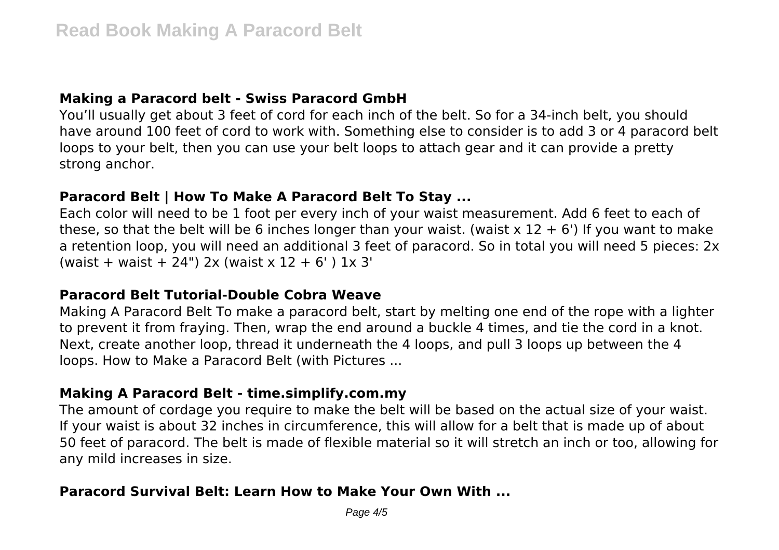## **Making a Paracord belt - Swiss Paracord GmbH**

You'll usually get about 3 feet of cord for each inch of the belt. So for a 34-inch belt, you should have around 100 feet of cord to work with. Something else to consider is to add 3 or 4 paracord belt loops to your belt, then you can use your belt loops to attach gear and it can provide a pretty strong anchor.

## **Paracord Belt | How To Make A Paracord Belt To Stay ...**

Each color will need to be 1 foot per every inch of your waist measurement. Add 6 feet to each of these, so that the belt will be 6 inches longer than your waist. (waist  $x$  12 + 6') If you want to make a retention loop, you will need an additional 3 feet of paracord. So in total you will need 5 pieces: 2x (waist + waist + 24") 2x (waist x  $12 + 6'$ ) 1x 3'

## **Paracord Belt Tutorial-Double Cobra Weave**

Making A Paracord Belt To make a paracord belt, start by melting one end of the rope with a lighter to prevent it from fraying. Then, wrap the end around a buckle 4 times, and tie the cord in a knot. Next, create another loop, thread it underneath the 4 loops, and pull 3 loops up between the 4 loops. How to Make a Paracord Belt (with Pictures ...

#### **Making A Paracord Belt - time.simplify.com.my**

The amount of cordage you require to make the belt will be based on the actual size of your waist. If your waist is about 32 inches in circumference, this will allow for a belt that is made up of about 50 feet of paracord. The belt is made of flexible material so it will stretch an inch or too, allowing for any mild increases in size.

## **Paracord Survival Belt: Learn How to Make Your Own With ...**